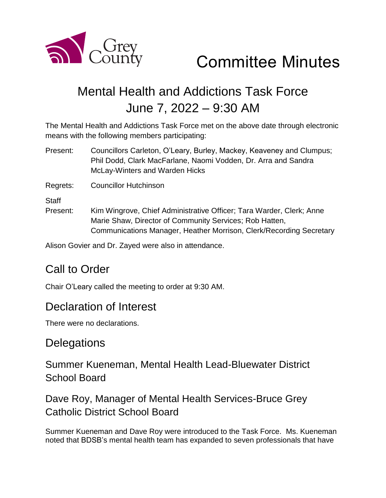

# Committee Minutes

# Mental Health and Addictions Task Force June 7, 2022 – 9:30 AM

The Mental Health and Addictions Task Force met on the above date through electronic means with the following members participating:

Present: Councillors Carleton, O'Leary, Burley, Mackey, Keaveney and Clumpus; Phil Dodd, Clark MacFarlane, Naomi Vodden, Dr. Arra and Sandra McLay-Winters and Warden Hicks

Regrets: Councillor Hutchinson

**Staff** 

Present: Kim Wingrove, Chief Administrative Officer; Tara Warder, Clerk; Anne Marie Shaw, Director of Community Services; Rob Hatten, Communications Manager, Heather Morrison, Clerk/Recording Secretary

Alison Govier and Dr. Zayed were also in attendance.

# Call to Order

Chair O'Leary called the meeting to order at 9:30 AM.

#### Declaration of Interest

There were no declarations.

# **Delegations**

Summer Kueneman, Mental Health Lead-Bluewater District School Board

Dave Roy, Manager of Mental Health Services-Bruce Grey Catholic District School Board

Summer Kueneman and Dave Roy were introduced to the Task Force. Ms. Kueneman noted that BDSB's mental health team has expanded to seven professionals that have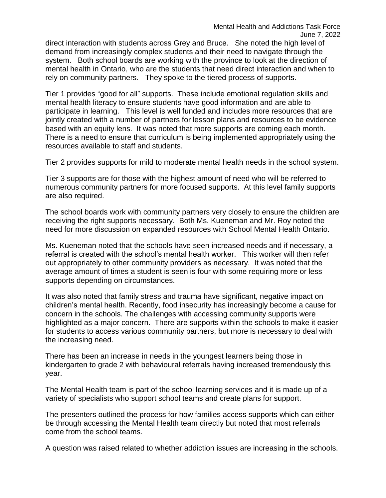direct interaction with students across Grey and Bruce. She noted the high level of demand from increasingly complex students and their need to navigate through the system. Both school boards are working with the province to look at the direction of mental health in Ontario, who are the students that need direct interaction and when to rely on community partners. They spoke to the tiered process of supports.

Tier 1 provides "good for all" supports. These include emotional regulation skills and mental health literacy to ensure students have good information and are able to participate in learning. This level is well funded and includes more resources that are jointly created with a number of partners for lesson plans and resources to be evidence based with an equity lens. It was noted that more supports are coming each month. There is a need to ensure that curriculum is being implemented appropriately using the resources available to staff and students.

Tier 2 provides supports for mild to moderate mental health needs in the school system.

Tier 3 supports are for those with the highest amount of need who will be referred to numerous community partners for more focused supports. At this level family supports are also required.

The school boards work with community partners very closely to ensure the children are receiving the right supports necessary. Both Ms. Kueneman and Mr. Roy noted the need for more discussion on expanded resources with School Mental Health Ontario.

Ms. Kueneman noted that the schools have seen increased needs and if necessary, a referral is created with the school's mental health worker. This worker will then refer out appropriately to other community providers as necessary. It was noted that the average amount of times a student is seen is four with some requiring more or less supports depending on circumstances.

It was also noted that family stress and trauma have significant, negative impact on children's mental health. Recently, food insecurity has increasingly become a cause for concern in the schools. The challenges with accessing community supports were highlighted as a major concern. There are supports within the schools to make it easier for students to access various community partners, but more is necessary to deal with the increasing need.

There has been an increase in needs in the youngest learners being those in kindergarten to grade 2 with behavioural referrals having increased tremendously this year.

The Mental Health team is part of the school learning services and it is made up of a variety of specialists who support school teams and create plans for support.

The presenters outlined the process for how families access supports which can either be through accessing the Mental Health team directly but noted that most referrals come from the school teams.

A question was raised related to whether addiction issues are increasing in the schools.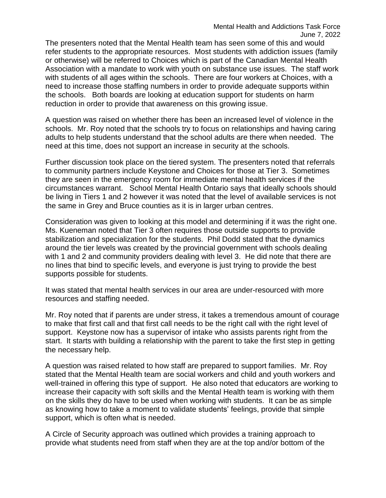The presenters noted that the Mental Health team has seen some of this and would refer students to the appropriate resources. Most students with addiction issues (family or otherwise) will be referred to Choices which is part of the Canadian Mental Health Association with a mandate to work with youth on substance use issues. The staff work with students of all ages within the schools. There are four workers at Choices, with a need to increase those staffing numbers in order to provide adequate supports within the schools. Both boards are looking at education support for students on harm reduction in order to provide that awareness on this growing issue.

A question was raised on whether there has been an increased level of violence in the schools. Mr. Roy noted that the schools try to focus on relationships and having caring adults to help students understand that the school adults are there when needed. The need at this time, does not support an increase in security at the schools.

Further discussion took place on the tiered system. The presenters noted that referrals to community partners include Keystone and Choices for those at Tier 3. Sometimes they are seen in the emergency room for immediate mental health services if the circumstances warrant. School Mental Health Ontario says that ideally schools should be living in Tiers 1 and 2 however it was noted that the level of available services is not the same in Grey and Bruce counties as it is in larger urban centres.

Consideration was given to looking at this model and determining if it was the right one. Ms. Kueneman noted that Tier 3 often requires those outside supports to provide stabilization and specialization for the students. Phil Dodd stated that the dynamics around the tier levels was created by the provincial government with schools dealing with 1 and 2 and community providers dealing with level 3. He did note that there are no lines that bind to specific levels, and everyone is just trying to provide the best supports possible for students.

It was stated that mental health services in our area are under-resourced with more resources and staffing needed.

Mr. Roy noted that if parents are under stress, it takes a tremendous amount of courage to make that first call and that first call needs to be the right call with the right level of support. Keystone now has a supervisor of intake who assists parents right from the start. It starts with building a relationship with the parent to take the first step in getting the necessary help.

A question was raised related to how staff are prepared to support families. Mr. Roy stated that the Mental Health team are social workers and child and youth workers and well-trained in offering this type of support. He also noted that educators are working to increase their capacity with soft skills and the Mental Health team is working with them on the skills they do have to be used when working with students. It can be as simple as knowing how to take a moment to validate students' feelings, provide that simple support, which is often what is needed.

A Circle of Security approach was outlined which provides a training approach to provide what students need from staff when they are at the top and/or bottom of the